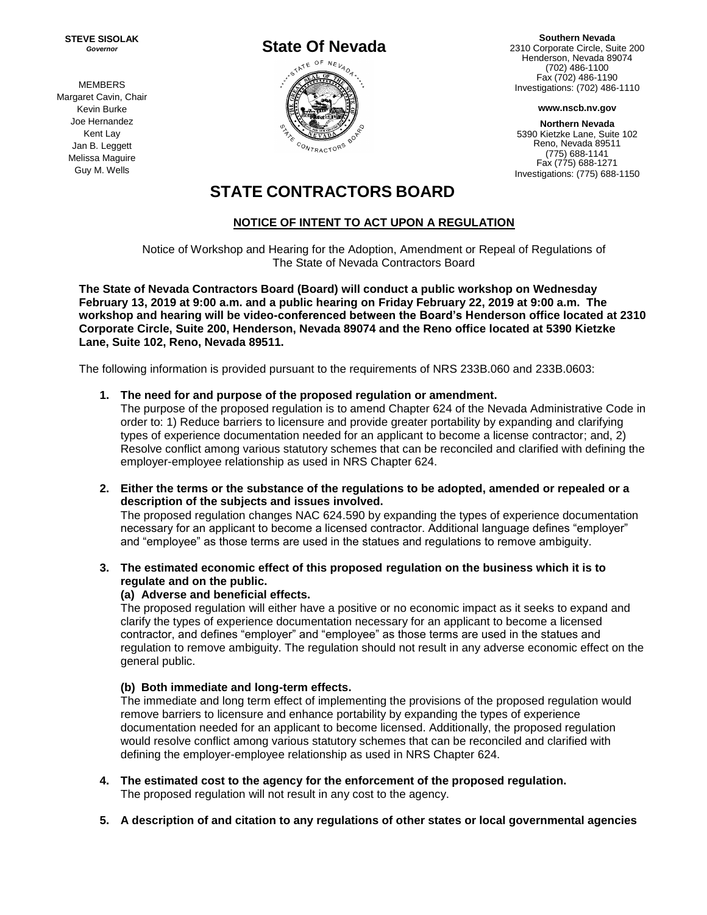**STEVE SISOLAK** *Governor*

MEMBERS Margaret Cavin, Chair Kevin Burke Joe Hernandez Kent Lay Jan B. Leggett Melissa Maguire Guy M. Wells



**Southern Nevada** 2310 Corporate Circle, Suite 200 Henderson, Nevada 89074 (702) 486-1100 Fax (702) 486-1190 Investigations: (702) 486-1110

**www.nscb.nv.gov**

**Northern Nevada** 5390 Kietzke Lane, Suite 102 Reno, Nevada 89511 (775) 688-1141 Fax (775) 688-1271 Investigations: (775) 688-1150

# **STATE CONTRACTORS BOARD**

# **NOTICE OF INTENT TO ACT UPON A REGULATION**

Notice of Workshop and Hearing for the Adoption, Amendment or Repeal of Regulations of The State of Nevada Contractors Board

**The State of Nevada Contractors Board (Board) will conduct a public workshop on Wednesday February 13, 2019 at 9:00 a.m. and a public hearing on Friday February 22, 2019 at 9:00 a.m. The workshop and hearing will be video-conferenced between the Board's Henderson office located at 2310 Corporate Circle, Suite 200, Henderson, Nevada 89074 and the Reno office located at 5390 Kietzke Lane, Suite 102, Reno, Nevada 89511.** 

The following information is provided pursuant to the requirements of NRS 233B.060 and 233B.0603:

**1. The need for and purpose of the proposed regulation or amendment.**

The purpose of the proposed regulation is to amend Chapter 624 of the Nevada Administrative Code in order to: 1) Reduce barriers to licensure and provide greater portability by expanding and clarifying types of experience documentation needed for an applicant to become a license contractor; and, 2) Resolve conflict among various statutory schemes that can be reconciled and clarified with defining the employer-employee relationship as used in NRS Chapter 624.

**2. Either the terms or the substance of the regulations to be adopted, amended or repealed or a description of the subjects and issues involved.** The proposed regulation changes NAC 624.590 by expanding the types of experience documentation

necessary for an applicant to become a licensed contractor. Additional language defines "employer" and "employee" as those terms are used in the statues and regulations to remove ambiguity.

**3. The estimated economic effect of this proposed regulation on the business which it is to regulate and on the public.**

## **(a) Adverse and beneficial effects.**

The proposed regulation will either have a positive or no economic impact as it seeks to expand and clarify the types of experience documentation necessary for an applicant to become a licensed contractor, and defines "employer" and "employee" as those terms are used in the statues and regulation to remove ambiguity. The regulation should not result in any adverse economic effect on the general public.

## **(b) Both immediate and long-term effects.**

The immediate and long term effect of implementing the provisions of the proposed regulation would remove barriers to licensure and enhance portability by expanding the types of experience documentation needed for an applicant to become licensed. Additionally, the proposed regulation would resolve conflict among various statutory schemes that can be reconciled and clarified with defining the employer-employee relationship as used in NRS Chapter 624.

- **4. The estimated cost to the agency for the enforcement of the proposed regulation.** The proposed regulation will not result in any cost to the agency.
- **5. A description of and citation to any regulations of other states or local governmental agencies**